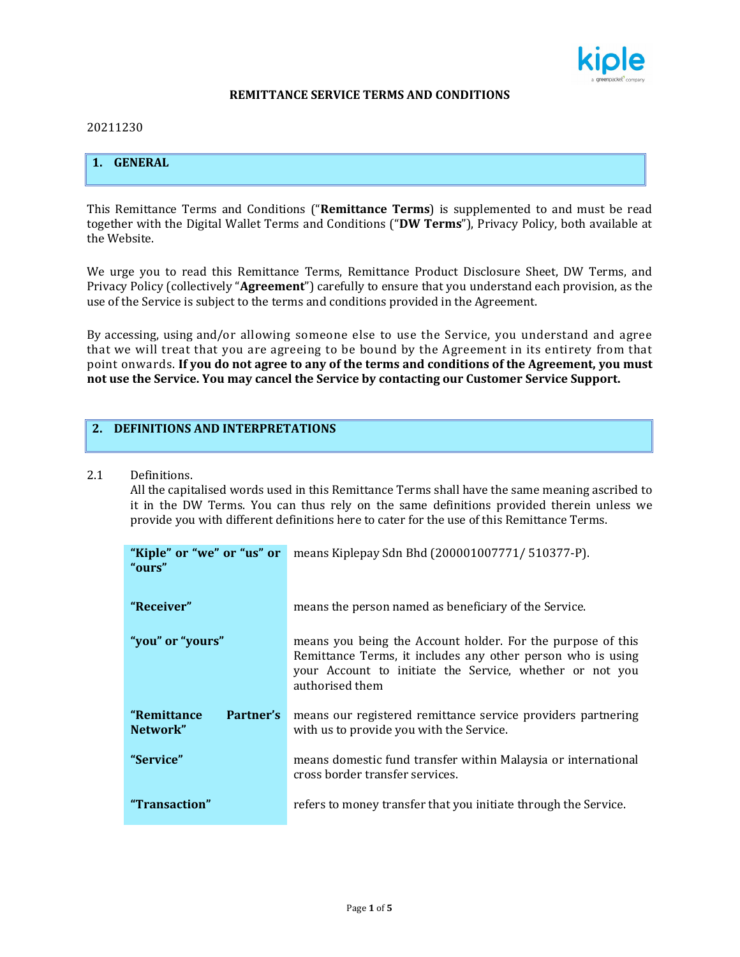

#### **REMITTANCE SERVICE TERMS AND CONDITIONS**

#### 20211230

## **1. GENERAL**

This Remittance Terms and Conditions ("**Remittance Terms**) is supplemented to and must be read together with the Digital Wallet Terms and Conditions ("**DW Terms**"), Privacy Policy, both available at the Website.

We urge you to read this Remittance Terms, Remittance Product Disclosure Sheet, DW Terms, and Privacy Policy (collectively "**Agreement**") carefully to ensure that you understand each provision, as the use of the Service is subject to the terms and conditions provided in the Agreement.

By accessing, using and/or allowing someone else to use the Service, you understand and agree that we will treat that you are agreeing to be bound by the Agreement in its entirety from that point onwards. **If you do not agree to any of the terms and conditions of the Agreement, you must not use the Service. You may cancel the Service by contacting our Customer Service Support.**

#### **2. DEFINITIONS AND INTERPRETATIONS**

#### 2.1 Definitions.

All the capitalised words used in this Remittance Terms shall have the same meaning ascribed to it in the DW Terms. You can thus rely on the same definitions provided therein unless we provide you with different definitions here to cater for the use of this Remittance Terms.

| "Kiple" or "we" or "us" or<br>"ours"  | means Kiplepay Sdn Bhd (200001007771/510377-P).                                                                                                                                                           |
|---------------------------------------|-----------------------------------------------------------------------------------------------------------------------------------------------------------------------------------------------------------|
| "Receiver"                            | means the person named as beneficiary of the Service.                                                                                                                                                     |
| "you" or "yours"                      | means you being the Account holder. For the purpose of this<br>Remittance Terms, it includes any other person who is using<br>your Account to initiate the Service, whether or not you<br>authorised them |
| "Remittance"<br>Partner's<br>Network" | means our registered remittance service providers partnering<br>with us to provide you with the Service.                                                                                                  |
| "Service"                             | means domestic fund transfer within Malaysia or international<br>cross border transfer services.                                                                                                          |
| "Transaction"                         | refers to money transfer that you initiate through the Service.                                                                                                                                           |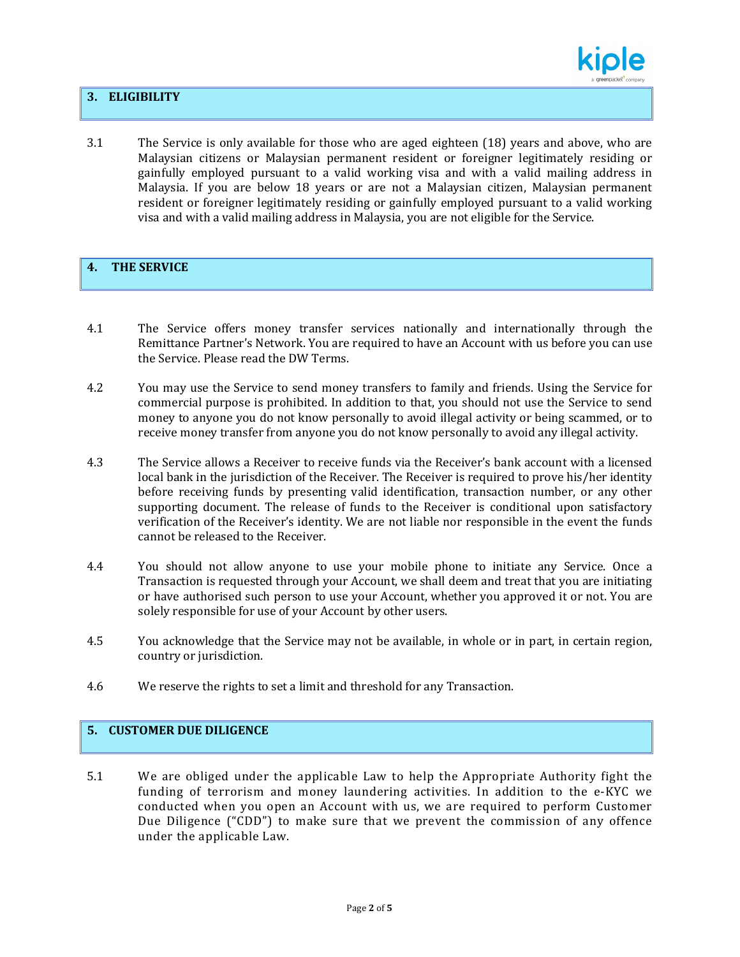

### **3. ELIGIBILITY**

3.1 The Service is only available for those who are aged eighteen (18) years and above, who are Malaysian citizens or Malaysian permanent resident or foreigner legitimately residing or gainfully employed pursuant to a valid working visa and with a valid mailing address in Malaysia. If you are below 18 years or are not a Malaysian citizen, Malaysian permanent resident or foreigner legitimately residing or gainfully employed pursuant to a valid working visa and with a valid mailing address in Malaysia, you are not eligible for the Service.

# **4. THE SERVICE**

- 4.1 The Service offers money transfer services nationally and internationally through the Remittance Partner's Network. You are required to have an Account with us before you can use the Service. Please read the DW Terms.
- 4.2 You may use the Service to send money transfers to family and friends. Using the Service for commercial purpose is prohibited. In addition to that, you should not use the Service to send money to anyone you do not know personally to avoid illegal activity or being scammed, or to receive money transfer from anyone you do not know personally to avoid any illegal activity.
- 4.3 The Service allows a Receiver to receive funds via the Receiver's bank account with a licensed local bank in the jurisdiction of the Receiver. The Receiver is required to prove his/her identity before receiving funds by presenting valid identification, transaction number, or any other supporting document. The release of funds to the Receiver is conditional upon satisfactory verification of the Receiver's identity. We are not liable nor responsible in the event the funds cannot be released to the Receiver.
- 4.4 You should not allow anyone to use your mobile phone to initiate any Service. Once a Transaction is requested through your Account, we shall deem and treat that you are initiating or have authorised such person to use your Account, whether you approved it or not. You are solely responsible for use of your Account by other users.
- 4.5 You acknowledge that the Service may not be available, in whole or in part, in certain region, country or jurisdiction.
- 4.6 We reserve the rights to set a limit and threshold for any Transaction.

## **5. CUSTOMER DUE DILIGENCE**

5.1 We are obliged under the applicable Law to help the Appropriate Authority fight the funding of terrorism and money laundering activities. In addition to the e-KYC we conducted when you open an Account with us, we are required to perform Customer Due Diligence ("CDD") to make sure that we prevent the commission of any offence under the applicable Law.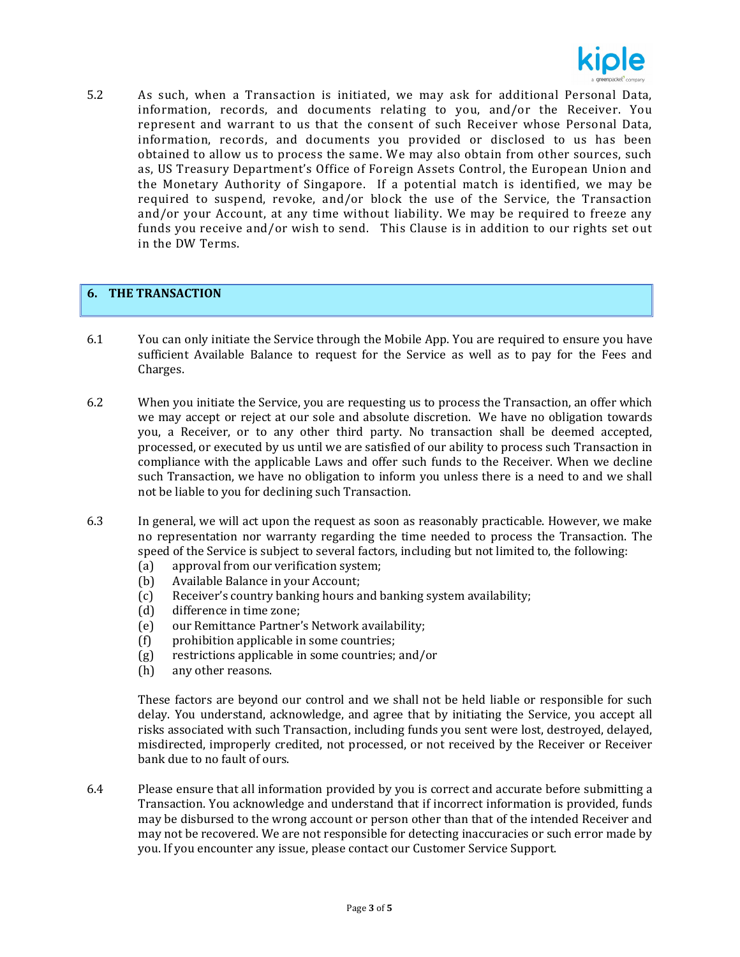

5.2 As such, when a Transaction is initiated, we may ask for additional Personal Data, information, records, and documents relating to you, and/or the Receiver. You represent and warrant to us that the consent of such Receiver whose Personal Data, information, records, and documents you provided or disclosed to us has been obtained to allow us to process the same. We may also obtain from other sources, such as, US Treasury Department's Office of Foreign Assets Control, the European Union and the Monetary Authority of Singapore. If a potential match is identified, we may be required to suspend, revoke, and/or block the use of the Service, the Transaction and/or your Account, at any time without liability. We may be required to freeze any funds you receive and/or wish to send. This Clause is in addition to our rights set out in the DW Terms.

### **6. THE TRANSACTION**

- 6.1 You can only initiate the Service through the Mobile App. You are required to ensure you have sufficient Available Balance to request for the Service as well as to pay for the Fees and Charges.
- 6.2 When you initiate the Service, you are requesting us to process the Transaction, an offer which we may accept or reject at our sole and absolute discretion. We have no obligation towards you, a Receiver, or to any other third party. No transaction shall be deemed accepted, processed, or executed by us until we are satisfied of our ability to process such Transaction in compliance with the applicable Laws and offer such funds to the Receiver. When we decline such Transaction, we have no obligation to inform you unless there is a need to and we shall not be liable to you for declining such Transaction.
- 6.3 In general, we will act upon the request as soon as reasonably practicable. However, we make no representation nor warranty regarding the time needed to process the Transaction. The speed of the Service is subject to several factors, including but not limited to, the following:
	- (a) approval from our verification system;
	- (b) Available Balance in your Account;
	- (c) Receiver's country banking hours and banking system availability;
	- (d) difference in time zone;
	- (e) our Remittance Partner's Network availability;
	- (f) prohibition applicable in some countries;
	- (g) restrictions applicable in some countries; and/or
	- (h) any other reasons.

These factors are beyond our control and we shall not be held liable or responsible for such delay. You understand, acknowledge, and agree that by initiating the Service, you accept all risks associated with such Transaction, including funds you sent were lost, destroyed, delayed, misdirected, improperly credited, not processed, or not received by the Receiver or Receiver bank due to no fault of ours.

6.4 Please ensure that all information provided by you is correct and accurate before submitting a Transaction. You acknowledge and understand that if incorrect information is provided, funds may be disbursed to the wrong account or person other than that of the intended Receiver and may not be recovered. We are not responsible for detecting inaccuracies or such error made by you. If you encounter any issue, please contact our Customer Service Support.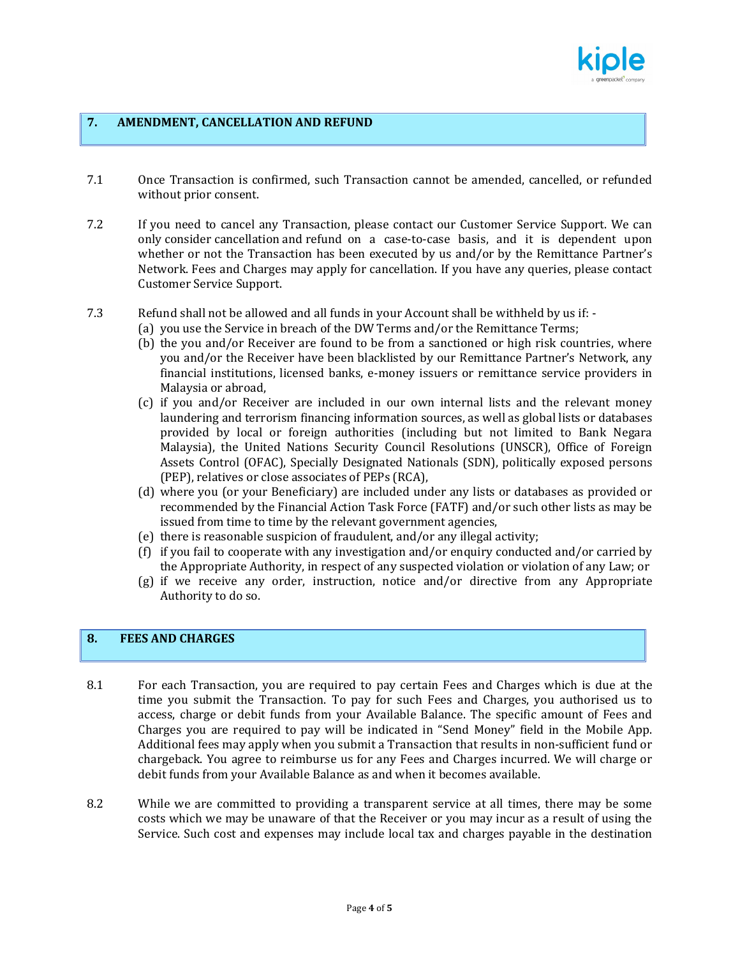

#### **7. AMENDMENT, CANCELLATION AND REFUND**

- 7.1 Once Transaction is confirmed, such Transaction cannot be amended, cancelled, or refunded without prior consent.
- 7.2 If you need to cancel any Transaction, please contact our Customer Service Support. We can only consider cancellation and refund on a case-to-case basis, and it is dependent upon whether or not the Transaction has been executed by us and/or by the Remittance Partner's Network. Fees and Charges may apply for cancellation. If you have any queries, please contact Customer Service Support.
- 7.3 Refund shall not be allowed and all funds in your Account shall be withheld by us if:
	- (a) you use the Service in breach of the DW Terms and/or the Remittance Terms;
	- (b) the you and/or Receiver are found to be from a sanctioned or high risk countries, where you and/or the Receiver have been blacklisted by our Remittance Partner's Network, any financial institutions, licensed banks, e-money issuers or remittance service providers in Malaysia or abroad,
	- (c) if you and/or Receiver are included in our own internal lists and the relevant money laundering and terrorism financing information sources, as well as global lists or databases provided by local or foreign authorities (including but not limited to Bank Negara Malaysia), the United Nations Security Council Resolutions (UNSCR), Office of Foreign Assets Control (OFAC), Specially Designated Nationals (SDN), politically exposed persons (PEP), relatives or close associates of PEPs (RCA),
	- (d) where you (or your Beneficiary) are included under any lists or databases as provided or recommended by the Financial Action Task Force (FATF) and/or such other lists as may be issued from time to time by the relevant government agencies,
	- (e) there is reasonable suspicion of fraudulent, and/or any illegal activity;
	- (f) if you fail to cooperate with any investigation and/or enquiry conducted and/or carried by the Appropriate Authority, in respect of any suspected violation or violation of any Law; or
	- (g) if we receive any order, instruction, notice and/or directive from any Appropriate Authority to do so.

# **8. FEES AND CHARGES**

- 8.1 For each Transaction, you are required to pay certain Fees and Charges which is due at the time you submit the Transaction. To pay for such Fees and Charges, you authorised us to access, charge or debit funds from your Available Balance. The specific amount of Fees and Charges you are required to pay will be indicated in "Send Money" field in the Mobile App. Additional fees may apply when you submit a Transaction that results in non-sufficient fund or chargeback. You agree to reimburse us for any Fees and Charges incurred. We will charge or debit funds from your Available Balance as and when it becomes available.
- 8.2 While we are committed to providing a transparent service at all times, there may be some costs which we may be unaware of that the Receiver or you may incur as a result of using the Service. Such cost and expenses may include local tax and charges payable in the destination